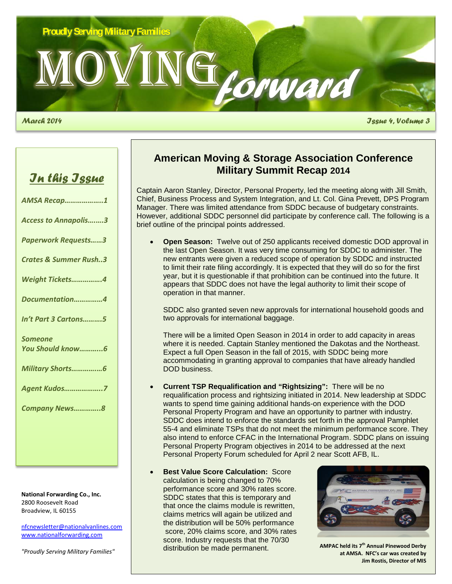

*March 2014 Issue 4, Volume 3*

## *In this Issue*

| <b>AMSA Recap1</b>               |
|----------------------------------|
| <b>Access to Annapolis3</b>      |
| <b>Paperwork Requests3</b>       |
| <b>Crates &amp; Summer Rush3</b> |
| Weight Tickets4                  |
| Documentation4                   |
| In't Part 3 Cartons5             |
| <b>Someone</b>                   |
| You Should know6                 |
| Military Shorts6                 |
| <b>Agent Kudos7</b>              |
| Company News8                    |
|                                  |

**National Forwarding Co., Inc.** 2800 Roosevelt Road Broadview, IL 60155

[nfcnewsletter@nationalvanlines.com](mailto:nfcnewsletter@nationalvanlines.com) [www.nationalforwarding.com](http://www.nationalforwarding.com/)

*"Proudly Serving Military Families"*

### **American Moving & Storage Association Conference Military Summit Recap 2014**

Captain Aaron Stanley, Director, Personal Property, led the meeting along with Jill Smith, Chief, Business Process and System Integration, and Lt. Col. Gina Prevett, DPS Program Manager. There was limited attendance from SDDC because of budgetary constraints. However, additional SDDC personnel did participate by conference call. The following is a brief outline of the principal points addressed.

• **Open Season:** Twelve out of 250 applicants received domestic DOD approval in the last Open Season. It was very time consuming for SDDC to administer. The new entrants were given a reduced scope of operation by SDDC and instructed to limit their rate filing accordingly. It is expected that they will do so for the first year, but it is questionable if that prohibition can be continued into the future. It appears that SDDC does not have the legal authority to limit their scope of operation in that manner.

SDDC also granted seven new approvals for international household goods and two approvals for international baggage.

There will be a limited Open Season in 2014 in order to add capacity in areas where it is needed. Captain Stanley mentioned the Dakotas and the Northeast. Expect a full Open Season in the fall of 2015, with SDDC being more accommodating in granting approval to companies that have already handled DOD business.

- **Current TSP Requalification and "Rightsizing":** There will be no requalification process and rightsizing initiated in 2014. New leadership at SDDC wants to spend time gaining additional hands-on experience with the DOD Personal Property Program and have an opportunity to partner with industry. SDDC does intend to enforce the standards set forth in the approval Pamphlet 55-4 and eliminate TSPs that do not meet the minimum performance score. They also intend to enforce CFAC in the International Program. SDDC plans on issuing Personal Property Program objectives in 2014 to be addressed at the next Personal Property Forum scheduled for April 2 near Scott AFB, IL.
- **Best Value Score Calculation: Score** calculation is being changed to 70% performance score and 30% rates score. SDDC states that this is temporary and that once the claims module is rewritten, claims metrics will again be utilized and the distribution will be 50% performance score, 20% claims score, and 30% rates score. Industry requests that the 70/30 distribution be made permanent.



**AMPAC held its 7th Annual Pinewood Derby at AMSA. NFC's car was created by Jim Rostis, Director of MIS**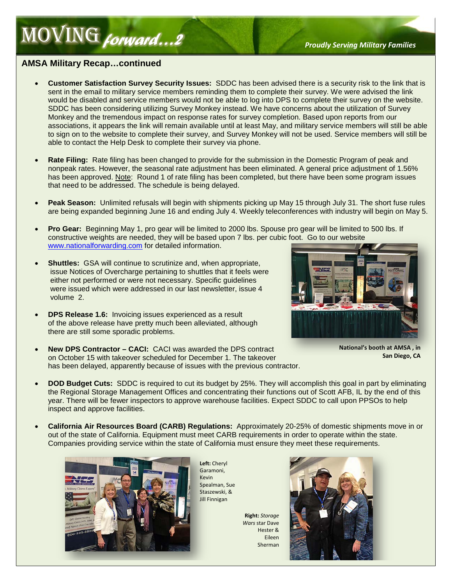# **MOVING** *forward*...2

### **AMSA Military Recap…continued**

volume 2.

- **Customer Satisfaction Survey Security Issues:** SDDC has been advised there is a security risk to the link that is sent in the email to military service members reminding them to complete their survey. We were advised the link would be disabled and service members would not be able to log into DPS to complete their survey on the website. SDDC has been considering utilizing Survey Monkey instead. We have concerns about the utilization of Survey Monkey and the tremendous impact on response rates for survey completion. Based upon reports from our associations, it appears the link will remain available until at least May, and military service members will still be able to sign on to the website to complete their survey, and Survey Monkey will not be used. Service members will still be able to contact the Help Desk to complete their survey via phone.
- **Rate Filing:** Rate filing has been changed to provide for the submission in the Domestic Program of peak and nonpeak rates. However, the seasonal rate adjustment has been eliminated. A general price adjustment of 1.56% has been approved. Note: Round 1 of rate filing has been completed, but there have been some program issues that need to be addressed. The schedule is being delayed.
- **Peak Season:** Unlimited refusals will begin with shipments picking up May 15 through July 31. The short fuse rules are being expanded beginning June 16 and ending July 4. Weekly teleconferences with industry will begin on May 5.
- **Pro Gear:** Beginning May 1, pro gear will be limited to 2000 lbs. Spouse pro gear will be limited to 500 lbs. If constructive weights are needed, they will be based upon 7 lbs. per cubic foot. Go to our website [www.nationalforwarding.com](http://www.nationalforwarding.com/) for detailed information.
	-
- **New DPS Contractor – CACI:** CACI was awarded the DPS contract on October 15 with takeover scheduled for December 1. The takeover has been delayed, apparently because of issues with the previous contractor.

**Shuttles:** GSA will continue to scrutinize and, when appropriate, issue Notices of Overcharge pertaining to shuttles that it feels were either not performed or were not necessary. Specific guidelines were issued which were addressed in our last newsletter, issue 4

• **DPS Release 1.6:** Invoicing issues experienced as a result of the above release have pretty much been alleviated, although

there are still some sporadic problems.

### **National's booth at AMSA , in San Diego, CA**

- **DOD Budget Cuts:** SDDC is required to cut its budget by 25%. They will accomplish this goal in part by eliminating the Regional Storage Management Offices and concentrating their functions out of Scott AFB, IL by the end of this year. There will be fewer inspectors to approve warehouse facilities. Expect SDDC to call upon PPSOs to help inspect and approve facilities.
- **California Air Resources Board (CARB) Regulations:** Approximately 20-25% of domestic shipments move in or out of the state of California. Equipment must meet CARB requirements in order to operate within the state. Companies providing service within the state of California must ensure they meet these requirements.



**Left:** Cheryl Garamoni, Kevin Spealman, Sue Staszewski, & Jill Finnigan

**Right:** *Storage Wars* star Dave Hester & Eileen Sherman

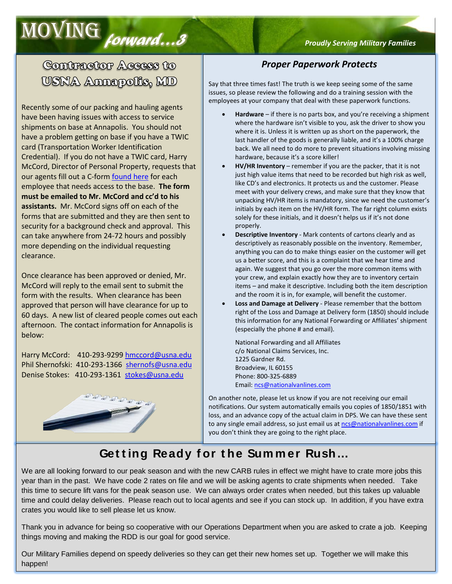# moving *forward…3 Proudly Serving Military Families*

## Contractor Access to USNA Annapolis, MD

Recently some of our packing and hauling agents have been having issues with access to service shipments on base at Annapolis. You should not have a problem getting on base if you have a TWIC card (Transportation Worker Identification Credential). If you do not have a TWIC card, Harry McCord, Director of Personal Property, requests that our agents fill out a C-for[m found here](http://www.cnic.navy.mil/content/cnic/cnic_hq/regions/ndw/installations/nsa_annapolis/om/security/Pass_and_ID_Office/_jcr_content/par1/pdfdownload_0/file.res/Contractor_ID_VehiclePassDataSheet_MAR13_Encl6.pdf) for each employee that needs access to the base. **The form must be emailed to Mr. McCord and cc'd to his assistants.** Mr. McCord signs off on each of the forms that are submitted and they are then sent to security for a background check and approval. This can take anywhere from 24-72 hours and possibly more depending on the individual requesting clearance.

Once clearance has been approved or denied, Mr. McCord will reply to the email sent to submit the form with the results. When clearance has been approved that person will have clearance for up to 60 days. A new list of cleared people comes out each afternoon. The contact information for Annapolis is below:

Harry McCord: 410-293-929[9 hmccord@usna.edu](mailto:hmccord@usna.edu) Phil Shernofski: 410-293-1366 [shernofs@usna.edu](mailto:shernofs@usna.edu) Denise Stokes: 410-293-1361 [stokes@usna.edu](mailto:stokes@usna.edu)



### *Proper Paperwork Protects*

Say that three times fast! The truth is we keep seeing some of the same issues, so please review the following and do a training session with the employees at your company that deal with these paperwork functions.

- **Hardware** if there is no parts box, and you're receiving a shipment where the hardware isn't visible to you, ask the driver to show you where it is. Unless it is written up as short on the paperwork, the last handler of the goods is generally liable, and it's a 100% charge back. We all need to do more to prevent situations involving missing hardware, because it's a score killer!
- **HV/HR Inventory** remember if you are the packer, that it is not just high value items that need to be recorded but high risk as well, like CD's and electronics. It protects us and the customer. Please meet with your delivery crews, and make sure that they know that unpacking HV/HR items is mandatory, since we need the customer's initials by each item on the HV/HR form. The far right column exists solely for these initials, and it doesn't helps us if it's not done properly.
- **Descriptive Inventory** Mark contents of cartons clearly and as descriptively as reasonably possible on the inventory. Remember, anything you can do to make things easier on the customer will get us a better score, and this is a complaint that we hear time and again. We suggest that you go over the more common items with your crew, and explain exactly how they are to inventory certain items – and make it descriptive. Including both the item description and the room it is in, for example, will benefit the customer.
- **Loss and Damage at Delivery** Please remember that the bottom right of the Loss and Damage at Delivery form (1850) should include this information for any National Forwarding or Affiliates' shipment (especially the phone # and email).

National Forwarding and all Affiliates c/o National Claims Services, Inc. 1225 Gardner Rd. Broadview, IL 60155 Phone: 800-325-6889 Email[: ncs@nationalvanlines.com](mailto:ncs@nationalvanlines.com)

On another note, please let us know if you are not receiving our email notifications. Our system automatically emails you copies of 1850/1851 with loss, and an advance copy of the actual claim in DPS. We can have these sent to any single email address, so just email us a[t ncs@nationalvanlines.com](mailto:ncs@nationalvanlines.com) if you don't think they are going to the right place.

## **Get t ing Ready f or t he Sum m er Rush…**

We are all looking forward to our peak season and with the new CARB rules in effect we might have to crate more jobs this year than in the past. We have code 2 rates on file and we will be asking agents to crate shipments when needed. Take this time to secure lift vans for the peak season use. We can always order crates when needed, but this takes up valuable time and could delay deliveries. Please reach out to local agents and see if you can stock up. In addition, if you have extra crates you would like to sell please let us know.

Thank you in advance for being so cooperative with our Operations Department when you are asked to crate a job. Keeping things moving and making the RDD is our goal for good service.

Our Military Families depend on speedy deliveries so they can get their new homes set up. Together we will make this happen!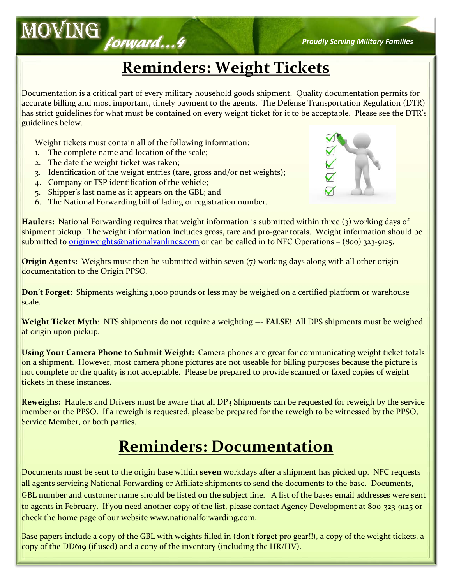## **Reminders: Weight Tickets**

Documentation is a critical part of every military household goods shipment. Quality documentation permits for accurate billing and most important, timely payment to the agents. The Defense Transportation Regulation (DTR) has strict guidelines for what must be contained on every weight ticket for it to be acceptable. Please see the DTR's guidelines below.

Weight tickets must contain all of the following information:

- 1. The complete name and location of the scale;
- 2. The date the weight ticket was taken;
- 3. Identification of the weight entries (tare, gross and/or net weights);
- 4. Company or TSP identification of the vehicle;
- 5. Shipper's last name as it appears on the GBL; and
- 6. The National Forwarding bill of lading or registration number.

**Haulers:** National Forwarding requires that weight information is submitted within three (3) working days of shipment pickup. The weight information includes gross, tare and pro-gear totals. Weight information should be submitted to <u>originweights@nationalvanlines.com</u> or can be called in to NFC Operations – (800) 323-9125.

**Origin Agents:** Weights must then be submitted within seven (7) working days along with all other origin documentation to the Origin PPSO.

**Don't Forget:** Shipments weighing 1,000 pounds or less may be weighed on a certified platform or warehouse scale.

**Weight Ticket Myth**: NTS shipments do not require a weighting **--- FALSE**! All DPS shipments must be weighed at origin upon pickup.

**Using Your Camera Phone to Submit Weight:** Camera phones are great for communicating weight ticket totals on a shipment. However, most camera phone pictures are not useable for billing purposes because the picture is not complete or the quality is not acceptable. Please be prepared to provide scanned or faxed copies of weight tickets in these instances.

**Reweighs:** Haulers and Drivers must be aware that all DP3 Shipments can be requested for reweigh by the service member or the PPSO. If a reweigh is requested, please be prepared for the reweigh to be witnessed by the PPSO, Service Member, or both parties.

## **Reminders: Documentation**

Documents must be sent to the origin base within **seven** workdays after a shipment has picked up. NFC requests all agents servicing National Forwarding or Affiliate shipments to send the documents to the base. Documents, GBL number and customer name should be listed on the subject line. A list of the bases email addresses were sent to agents in February. If you need another copy of the list, please contact Agency Development at 800-323-9125 or check the home page of our website www.nationalforwarding.com.

Base papers include a copy of the GBL with weights filled in (don't forget pro gear!!), a copy of the weight tickets, a copy of the DD619 (if used) and a copy of the inventory (including the HR/HV).



moving *forward…4 Proudly Serving Military Families*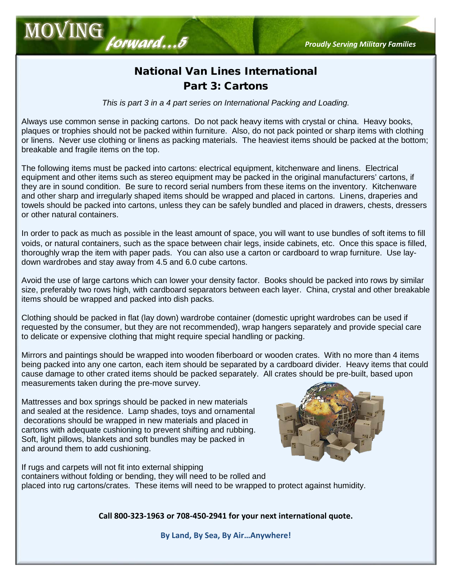## National Van Lines International Part 3: Cartons

*This is part 3 in a 4 part series on International Packing and Loading.*

Always use common sense in packing cartons. Do not pack heavy items with crystal or china. Heavy books, plaques or trophies should not be packed within furniture. Also, do not pack pointed or sharp items with clothing or linens. Never use clothing or linens as packing materials. The heaviest items should be packed at the bottom; breakable and fragile items on the top.

The following items must be packed into cartons: electrical equipment, kitchenware and linens. Electrical equipment and other items such as stereo equipment may be packed in the original manufacturers' cartons, if they are in sound condition. Be sure to record serial numbers from these items on the inventory. Kitchenware and other sharp and irregularly shaped items should be wrapped and placed in cartons. Linens, draperies and towels should be packed into cartons, unless they can be safely bundled and placed in drawers, chests, dressers or other natural containers.

In order to pack as much as possible in the least amount of space, you will want to use bundles of soft items to fill voids, or natural containers, such as the space between chair legs, inside cabinets, etc. Once this space is filled, thoroughly wrap the item with paper pads. You can also use a carton or cardboard to wrap furniture. Use laydown wardrobes and stay away from 4.5 and 6.0 cube cartons.

Avoid the use of large cartons which can lower your density factor. Books should be packed into rows by similar size, preferably two rows high, with cardboard separators between each layer. China, crystal and other breakable items should be wrapped and packed into dish packs.

Clothing should be packed in flat (lay down) wardrobe container (domestic upright wardrobes can be used if requested by the consumer, but they are not recommended), wrap hangers separately and provide special care to delicate or expensive clothing that might require special handling or packing.

Mirrors and paintings should be wrapped into wooden fiberboard or wooden crates. With no more than 4 items being packed into any one carton, each item should be separated by a cardboard divider. Heavy items that could cause damage to other crated items should be packed separately. All crates should be pre-built, based upon measurements taken during the pre-move survey.

Mattresses and box springs should be packed in new materials and sealed at the residence. Lamp shades, toys and ornamental decorations should be wrapped in new materials and placed in cartons with adequate cushioning to prevent shifting and rubbing. Soft, light pillows, blankets and soft bundles may be packed in and around them to add cushioning.

If rugs and carpets will not fit into external shipping containers without folding or bending, they will need to be rolled and placed into rug cartons/crates. These items will need to be wrapped to protect against humidity.

**Call 800-323-1963 or 708-450-2941 for your next international quote.**

**By Land, By Sea, By Air…Anywhere!**



# MOVING<br> *Forward...5 Proudly Serving Military Families*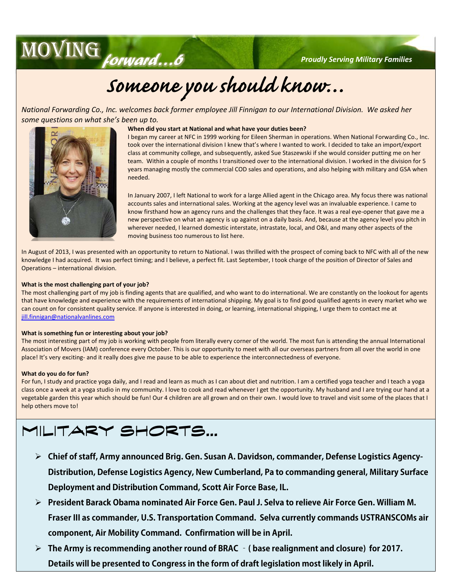moving*forward…6 Proudly Serving Military Families*

# *Someone you should know…*

*National Forwarding Co., Inc. welcomes back former employee Jill Finnigan to our International Division. We asked her some questions on what she's been up to.*

### **When did you start at National and what have your duties been?**

I began my career at NFC in 1999 working for Eileen Sherman in operations. When National Forwarding Co., Inc. took over the international division I knew that's where I wanted to work. I decided to take an import/export class at community college, and subsequently, asked Sue Staszewski if she would consider putting me on her team. Within a couple of months I transitioned over to the international division. I worked in the division for 5 years managing mostly the commercial COD sales and operations, and also helping with military and GSA when needed.

In January 2007, I left National to work for a large Allied agent in the Chicago area. My focus there was national accounts sales and international sales. Working at the agency level was an invaluable experience. I came to know firsthand how an agency runs and the challenges that they face. It was a real eye-opener that gave me a new perspective on what an agency is up against on a daily basis. And, because at the agency level you pitch in wherever needed, I learned domestic interstate, intrastate, local, and O&I, and many other aspects of the moving business too numerous to list here.

In August of 2013, I was presented with an opportunity to return to National. I was thrilled with the prospect of coming back to NFC with all of the new knowledge I had acquired. It was perfect timing; and I believe, a perfect fit. Last September, I took charge of the position of Director of Sales and Operations – international division.

### **What is the most challenging part of your job?**

The most challenging part of my job is finding agents that are qualified, and who want to do international. We are constantly on the lookout for agents that have knowledge and experience with the requirements of international shipping. My goal is to find good qualified agents in every market who we can count on for consistent quality service. If anyone is interested in doing, or learning, international shipping, I urge them to contact me at [jill.finnigan@nationalvanlines.com](mailto:jill.finnigan@nationalvanlines.com)

### **What is something fun or interesting about your job?**

The most interesting part of my job is working with people from literally every corner of the world. The most fun is attending the annual International Association of Movers (IAM) conference every October. This is our opportunity to meet with all our overseas partners from all over the world in one place! It's very exciting- and it really does give me pause to be able to experience the interconnectedness of everyone.

### **What do you do for fun?**

For fun, I study and practice yoga daily, and I read and learn as much as I can about diet and nutrition. I am a certified yoga teacher and I teach a yoga class once a week at a yoga studio in my community. I love to cook and read whenever I get the opportunity. My husband and I are trying our hand at a vegetable garden this year which should be fun! Our 4 children are all grown and on their own. I would love to travel and visit some of the places that I help others move to!

## **MILITARY SHORTS…**

- **Chief of staff, Army announced Brig. Gen. Susan A. Davidson, commander, Defense Logistics Agency-Distribution, Defense Logistics Agency, New Cumberland, Pa to commanding general, Military Surface Deployment and Distribution Command, Scott Air Force Base, IL.**
- **President Barack Obama nominated Air Force Gen. Paul J. Selva to relieve Air Force Gen. William M. Fraser III as commander, U.S. Transportation Command. Selva currently commands USTRANSCOMs air component, Air Mobility Command. Confirmation will be in April.**
- **The Army is recommending another round of BRAC –( base realignment and closure) for 2017. Details will be presented to Congress in the form of draft legislation most likely in April.**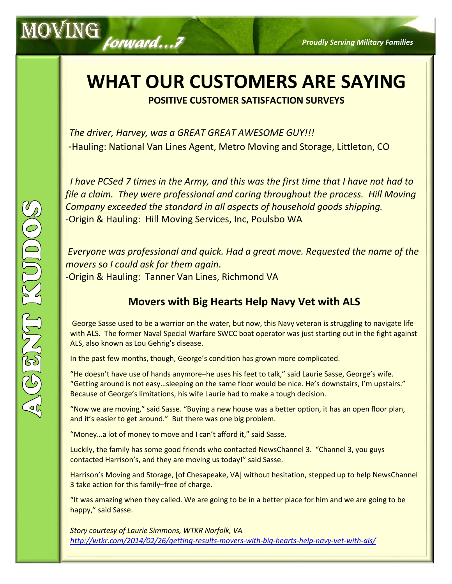## **WHAT OUR CUSTOMERS ARE SAYING POSITIVE CUSTOMER SATISFACTION SURVEYS**

 *The driver, Harvey, was a GREAT GREAT AWESOME GUY!!!* -Hauling: National Van Lines Agent, Metro Moving and Storage, Littleton, CO

 *I have PCSed 7 times in the Army, and this was the first time that I have not had to file a claim. They were professional and caring throughout the process. Hill Moving Company exceeded the standard in all aspects of household goods shipping.* -Origin & Hauling: Hill Moving Services, Inc, Poulsbo WA

*Everyone was professional and quick. Had a great move. Requested the name of the movers so I could ask for them again*. -Origin & Hauling: Tanner Van Lines, Richmond VA

## **Movers with Big Hearts Help Navy Vet with ALS**

George Sasse used to be a warrior on the water, but now, this Navy veteran is struggling to navigate life with ALS. The former Naval Special Warfare SWCC boat operator was just starting out in the fight against ALS, also known as Lou Gehrig's disease.

In the past few months, though, George's condition has grown more complicated.

"He doesn't have use of hands anymore–he uses his feet to talk," said Laurie Sasse, George's wife. "Getting around is not easy…sleeping on the same floor would be nice. He's downstairs, I'm upstairs." Because of George's limitations, his wife Laurie had to make a tough decision.

"Now we are moving," said Sasse. "Buying a new house was a better option, it has an open floor plan, and it's easier to get around." But there was one big problem.

"Money…a lot of money to move and I can't afford it," said Sasse.

Luckily, the family has some good friends who contacted NewsChannel 3. "Channel 3, you guys contacted Harrison's, and they are moving us today!" said Sasse.

Harrison's Moving and Storage, [of Chesapeake, VA] without hesitation, stepped up to help NewsChannel 3 take action for this family–free of charge.

"It was amazing when they called. We are going to be in a better place for him and we are going to be happy," said Sasse.

*Story courtesy of Laurie Simmons, WTKR Norfolk, VA <http://wtkr.com/2014/02/26/getting-results-movers-with-big-hearts-help-navy-vet-with-als/>*